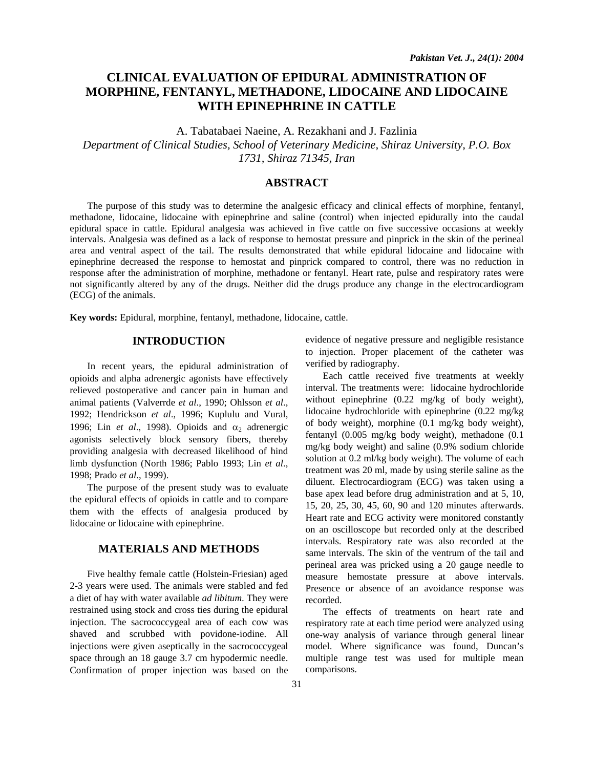# **CLINICAL EVALUATION OF EPIDURAL ADMINISTRATION OF MORPHINE, FENTANYL, METHADONE, LIDOCAINE AND LIDOCAINE WITH EPINEPHRINE IN CATTLE**

A. Tabatabaei Naeine, A. Rezakhani and J. Fazlinia

*Department of Clinical Studies, School of Veterinary Medicine, Shiraz University, P.O. Box 1731, Shiraz 71345, Iran* 

## **ABSTRACT**

The purpose of this study was to determine the analgesic efficacy and clinical effects of morphine, fentanyl, methadone, lidocaine, lidocaine with epinephrine and saline (control) when injected epidurally into the caudal epidural space in cattle. Epidural analgesia was achieved in five cattle on five successive occasions at weekly intervals. Analgesia was defined as a lack of response to hemostat pressure and pinprick in the skin of the perineal area and ventral aspect of the tail. The results demonstrated that while epidural lidocaine and lidocaine with epinephrine decreased the response to hemostat and pinprick compared to control, there was no reduction in response after the administration of morphine, methadone or fentanyl. Heart rate, pulse and respiratory rates were not significantly altered by any of the drugs. Neither did the drugs produce any change in the electrocardiogram (ECG) of the animals.

**Key words:** Epidural, morphine, fentanyl, methadone, lidocaine, cattle.

### **INTRODUCTION**

In recent years, the epidural administration of opioids and alpha adrenergic agonists have effectively relieved postoperative and cancer pain in human and animal patients (Valverrde *et al*., 1990; Ohlsson *et al*., 1992; Hendrickson *et al*., 1996; Kuplulu and Vural, 1996; Lin *et al.*, 1998). Opioids and  $\alpha_2$  adrenergic agonists selectively block sensory fibers, thereby providing analgesia with decreased likelihood of hind limb dysfunction (North 1986; Pablo 1993; Lin *et al*., 1998; Prado *et al*., 1999).

The purpose of the present study was to evaluate the epidural effects of opioids in cattle and to compare them with the effects of analgesia produced by lidocaine or lidocaine with epinephrine.

#### **MATERIALS AND METHODS**

Five healthy female cattle (Holstein-Friesian) aged 2-3 years were used. The animals were stabled and fed a diet of hay with water available *ad libitum*. They were restrained using stock and cross ties during the epidural injection. The sacrococcygeal area of each cow was shaved and scrubbed with povidone-iodine. All injections were given aseptically in the sacrococcygeal space through an 18 gauge 3.7 cm hypodermic needle. Confirmation of proper injection was based on the

evidence of negative pressure and negligible resistance to injection. Proper placement of the catheter was verified by radiography.

Each cattle received five treatments at weekly interval. The treatments were: lidocaine hydrochloride without epinephrine (0.22 mg/kg of body weight), lidocaine hydrochloride with epinephrine (0.22 mg/kg of body weight), morphine (0.1 mg/kg body weight), fentanyl (0.005 mg/kg body weight), methadone (0.1 mg/kg body weight) and saline (0.9% sodium chloride solution at 0.2 ml/kg body weight). The volume of each treatment was 20 ml, made by using sterile saline as the diluent. Electrocardiogram (ECG) was taken using a base apex lead before drug administration and at 5, 10, 15, 20, 25, 30, 45, 60, 90 and 120 minutes afterwards. Heart rate and ECG activity were monitored constantly on an oscilloscope but recorded only at the described intervals. Respiratory rate was also recorded at the same intervals. The skin of the ventrum of the tail and perineal area was pricked using a 20 gauge needle to measure hemostate pressure at above intervals. Presence or absence of an avoidance response was recorded.

The effects of treatments on heart rate and respiratory rate at each time period were analyzed using one-way analysis of variance through general linear model. Where significance was found, Duncan's multiple range test was used for multiple mean comparisons.